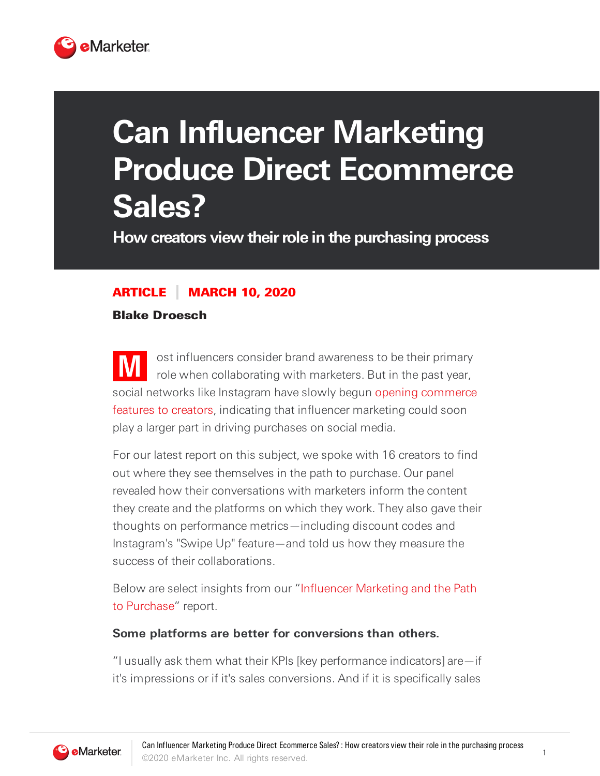

# **Can Influencer Marketing Produce Direct Ecommerce Sales?**

**How creators view theirrole in the purchasing process**

## ARTICLE MARCH 10, 2020

Blake Droesch

**M** ost influencers consider brand awareness to be their primary role when collaborating with marketers. But in the past year, social networks like Instagram have slowly begun opening commerce features to creators, indicating that influencer marketing could soon play a larger part in driving purchases on social media.

For our latest report on this subject, we spoke with 16 creators to find out where they see themselves in the path to purchase. Our panel revealed how their conversations with marketers inform the content they create and the platforms on which they work. They also gave their thoughts on performance metrics—including discount codes and Instagram's "Swipe Up" feature—and told us how they measure the success of their collaborations.

Below are select insights from our "Influencer Marketing and the Path to Purchase" report.

#### **Some platforms are better for conversions than others.**

"I usually ask them what their KPIs [key performance indicators] are—if it's impressions or if it's sales conversions. And if it is specifically sales



1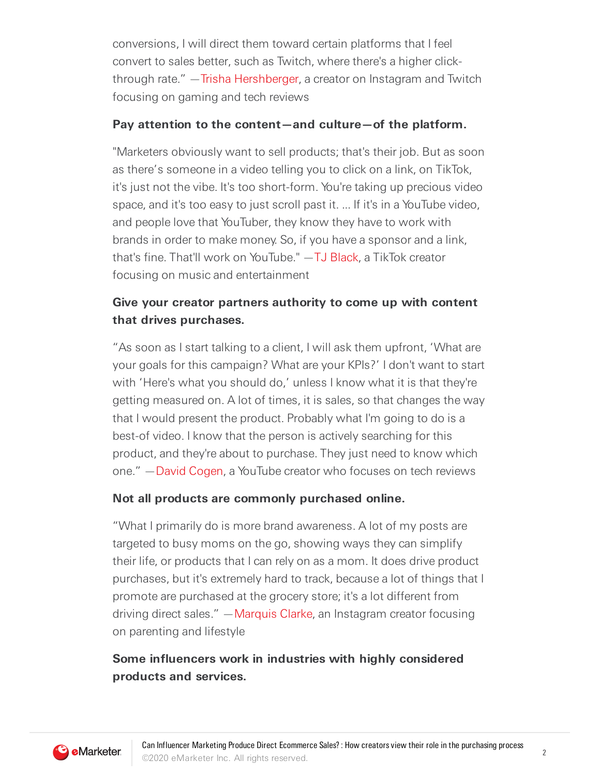conversions, I will direct them toward certain platforms that I feel convert to sales better, such as Twitch, where there's a higher click-through rate." - Trisha [Hershberger,](https://www.twitch.tv/trishahershberger) a creator on Instagram and Twitch focusing on gaming and tech reviews

#### **Pay attention to the content—and culture—of the platform.**

"Marketers obviously want to sell products; that's their job. But as soon as there's someone in a video telling you to click on a link, on TikTok, it's just not the vibe. It's too short-form. You're taking up precious video space, and it's too easy to just scroll past it. ... If it's in a YouTube video, and people love that YouTuber, they know they have to work with brands in order to make money. So, if you have a sponsor and a link, that's fine. That'll work on YouTube." —TJ [Black,](https://www.tiktok.com/@cloudtalk) a TikTok creator focusing on music and entertainment

## **Give your creator partners authority to come up with content that drives purchases.**

"As soon as I start talking to a client, I will ask them upfront, 'What are your goals for this campaign? What are your KPIs?' I don't want to start with 'Here's what you should do,' unless I know what it is that they're getting measured on. A lot of times, it is sales, so that changes the way that I would present the product. Probably what I'm going to do is a best-of video. I know that the person is actively searching for this product, and they're about to purchase. They just need to know which one." —David [Cogen,](https://www.youtube.com/theUnlockr) a YouTube creator who focuses on tech reviews

## **Not all products are commonly purchased online.**

"What I primarily do is more brand awareness. A lot of my posts are targeted to busy moms on the go, showing ways they can simplify their life, or products that I can rely on as a mom. It does drive product purchases, but it's extremely hard to track, because a lot of things that I promote are purchased at the grocery store; it's a lot different from driving direct sales." [—Marquis](https://www.instagram.com/marquis_clarke/) Clarke, an Instagram creator focusing on parenting and lifestyle

## **Some influencers work in industries with highly considered products and services.**